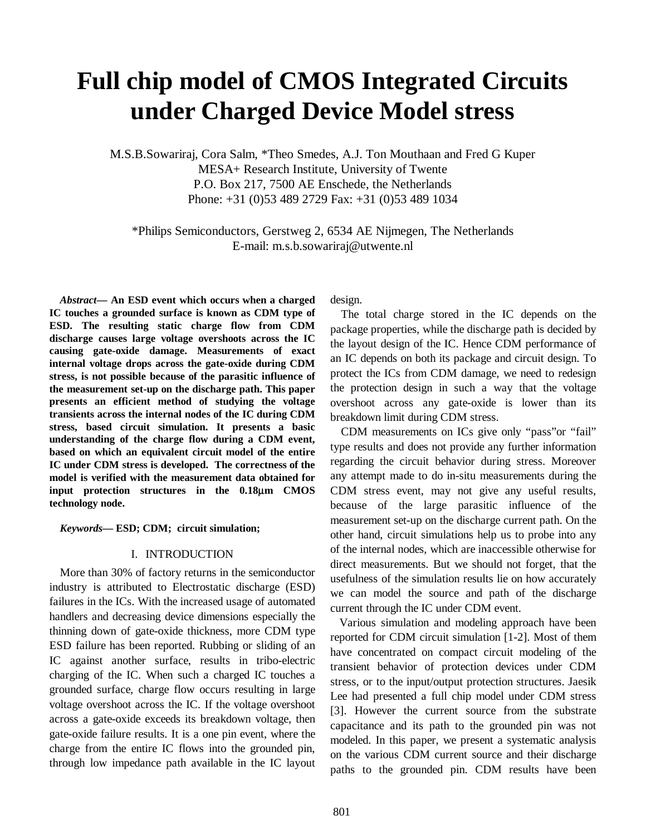# **Full chip model of CMOS Integrated Circuits under Charged Device Model stress**

M.S.B.Sowariraj, Cora Salm, \*Theo Smedes, A.J. Ton Mouthaan and Fred G Kuper MESA+ Research Institute, University of Twente P.O. Box 217, 7500 AE Enschede, the Netherlands Phone: +31 (0)53 489 2729 Fax: +31 (0)53 489 1034

\*Philips Semiconductors, Gerstweg 2, 6534 AE Nijmegen, The Netherlands E-mail: m.s.b.sowariraj@utwente.nl

*Abstract***— An ESD event which occurs when a charged IC touches a grounded surface is known as CDM type of ESD. The resulting static charge flow from CDM discharge causes large voltage overshoots across the IC causing gate-oxide damage. Measurements of exact internal voltage drops across the gate-oxide during CDM stress, is not possible because of the parasitic influence of the measurement set-up on the discharge path. This paper presents an efficient method of studying the voltage transients across the internal nodes of the IC during CDM stress, based circuit simulation. It presents a basic understanding of the charge flow during a CDM event, based on which an equivalent circuit model of the entire IC under CDM stress is developed. The correctness of the model is verified with the measurement data obtained for input protection structures in the 0.18**µ**m CMOS technology node.** 

## *Keywords***— ESD; CDM; circuit simulation;**

## I. INTRODUCTION

More than 30% of factory returns in the semiconductor industry is attributed to Electrostatic discharge (ESD) failures in the ICs. With the increased usage of automated handlers and decreasing device dimensions especially the thinning down of gate-oxide thickness, more CDM type ESD failure has been reported. Rubbing or sliding of an IC against another surface, results in tribo-electric charging of the IC. When such a charged IC touches a grounded surface, charge flow occurs resulting in large voltage overshoot across the IC. If the voltage overshoot across a gate-oxide exceeds its breakdown voltage, then gate-oxide failure results. It is a one pin event, where the charge from the entire IC flows into the grounded pin, through low impedance path available in the IC layout design.

The total charge stored in the IC depends on the package properties, while the discharge path is decided by the layout design of the IC. Hence CDM performance of an IC depends on both its package and circuit design. To protect the ICs from CDM damage, we need to redesign the protection design in such a way that the voltage overshoot across any gate-oxide is lower than its breakdown limit during CDM stress.

CDM measurements on ICs give only "pass"or "fail" type results and does not provide any further information regarding the circuit behavior during stress. Moreover any attempt made to do in-situ measurements during the CDM stress event, may not give any useful results, because of the large parasitic influence of the measurement set-up on the discharge current path. On the other hand, circuit simulations help us to probe into any of the internal nodes, which are inaccessible otherwise for direct measurements. But we should not forget, that the usefulness of the simulation results lie on how accurately we can model the source and path of the discharge current through the IC under CDM event.

 Various simulation and modeling approach have been reported for CDM circuit simulation [1-2]. Most of them have concentrated on compact circuit modeling of the transient behavior of protection devices under CDM stress, or to the input/output protection structures. Jaesik Lee had presented a full chip model under CDM stress [3]. However the current source from the substrate capacitance and its path to the grounded pin was not modeled. In this paper, we present a systematic analysis on the various CDM current source and their discharge paths to the grounded pin. CDM results have been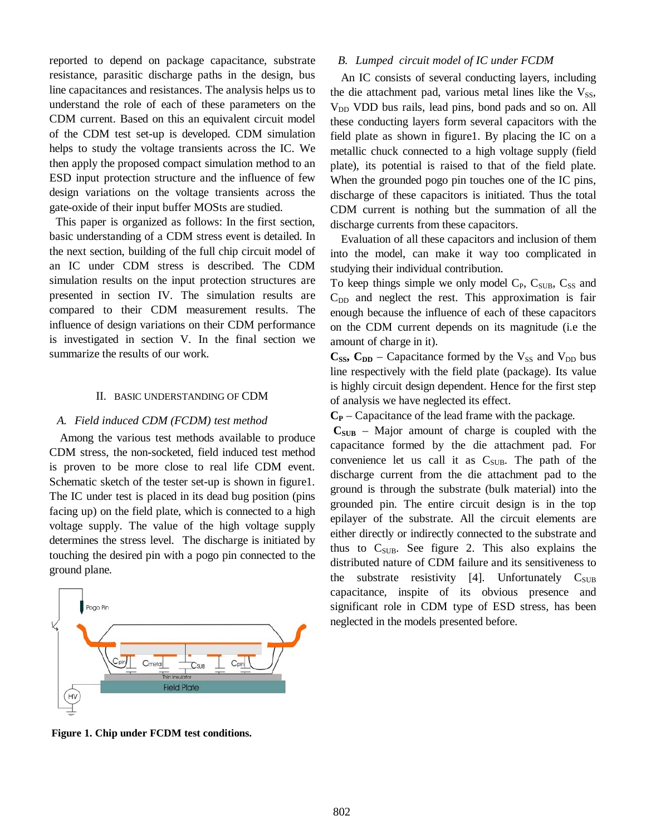reported to depend on package capacitance, substrate resistance, parasitic discharge paths in the design, bus line capacitances and resistances. The analysis helps us to understand the role of each of these parameters on the CDM current. Based on this an equivalent circuit model of the CDM test set-up is developed. CDM simulation helps to study the voltage transients across the IC. We then apply the proposed compact simulation method to an ESD input protection structure and the influence of few design variations on the voltage transients across the gate-oxide of their input buffer MOSts are studied.

This paper is organized as follows: In the first section, basic understanding of a CDM stress event is detailed. In the next section, building of the full chip circuit model of an IC under CDM stress is described. The CDM simulation results on the input protection structures are presented in section IV. The simulation results are compared to their CDM measurement results. The influence of design variations on their CDM performance is investigated in section V. In the final section we summarize the results of our work.

# II. BASIC UNDERSTANDING OF CDM

# *A. Field induced CDM (FCDM) test method*

Among the various test methods available to produce CDM stress, the non-socketed, field induced test method is proven to be more close to real life CDM event. Schematic sketch of the tester set-up is shown in figure1. The IC under test is placed in its dead bug position (pins facing up) on the field plate, which is connected to a high voltage supply. The value of the high voltage supply determines the stress level. The discharge is initiated by touching the desired pin with a pogo pin connected to the ground plane.



# *B. Lumped circuit model of IC under FCDM*

An IC consists of several conducting layers, including the die attachment pad, various metal lines like the  $V_{SS}$ , V<sub>DD</sub> VDD bus rails, lead pins, bond pads and so on. All these conducting layers form several capacitors with the field plate as shown in figure1. By placing the IC on a metallic chuck connected to a high voltage supply (field plate), its potential is raised to that of the field plate. When the grounded pogo pin touches one of the IC pins, discharge of these capacitors is initiated. Thus the total CDM current is nothing but the summation of all the discharge currents from these capacitors.

Evaluation of all these capacitors and inclusion of them into the model, can make it way too complicated in studying their individual contribution.

To keep things simple we only model  $C_{P}$ ,  $C_{SUB}$ ,  $C_{SS}$  and  $C_{DD}$  and neglect the rest. This approximation is fair enough because the influence of each of these capacitors on the CDM current depends on its magnitude (i.e the amount of charge in it).

 $C_{SS}$ ,  $C_{DD}$  – Capacitance formed by the  $V_{SS}$  and  $V_{DD}$  bus line respectively with the field plate (package). Its value is highly circuit design dependent. Hence for the first step of analysis we have neglected its effect.

 $C_P$  – Capacitance of the lead frame with the package.

 $C_{\text{SUB}}$  – Major amount of charge is coupled with the capacitance formed by the die attachment pad. For convenience let us call it as  $C_{SUB}$ . The path of the discharge current from the die attachment pad to the ground is through the substrate (bulk material) into the grounded pin. The entire circuit design is in the top epilayer of the substrate. All the circuit elements are either directly or indirectly connected to the substrate and thus to  $C_{SUB}$ . See figure 2. This also explains the distributed nature of CDM failure and its sensitiveness to the substrate resistivity [4]. Unfortunately  $C_{SUB}$ capacitance, inspite of its obvious presence and significant role in CDM type of ESD stress, has been neglected in the models presented before.

**Figure 1. Chip under FCDM test conditions.**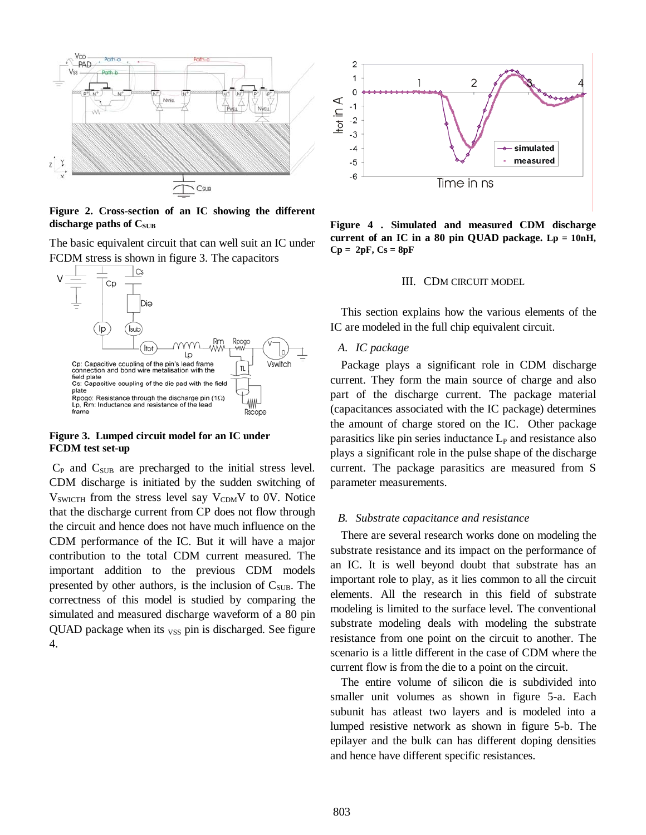

**Figure 2. Cross-section of an IC showing the different**  discharge paths of C<sub>SUB</sub>

The basic equivalent circuit that can well suit an IC under FCDM stress is shown in figure 3. The capacitors



## **Figure 3. Lumped circuit model for an IC under FCDM test set-up**

 $C_P$  and  $C_{SUB}$  are precharged to the initial stress level. CDM discharge is initiated by the sudden switching of  $V_{SWICTH}$  from the stress level say  $V_{CDM}V$  to 0V. Notice that the discharge current from CP does not flow through the circuit and hence does not have much influence on the CDM performance of the IC. But it will have a major contribution to the total CDM current measured. The important addition to the previous CDM models presented by other authors, is the inclusion of  $C_{SUB}$ . The correctness of this model is studied by comparing the simulated and measured discharge waveform of a 80 pin QUAD package when its  $_{VSS}$  pin is discharged. See figure 4.



**Figure 4 . Simulated and measured CDM discharge current of an IC in a 80 pin QUAD package. Lp = 10nH,**   $Cp = 2pF, Cs = 8pF$ 

# III. CDM CIRCUIT MODEL

This section explains how the various elements of the IC are modeled in the full chip equivalent circuit.

# *A. IC package*

Package plays a significant role in CDM discharge current. They form the main source of charge and also part of the discharge current. The package material (capacitances associated with the IC package) determines the amount of charge stored on the IC. Other package parasitics like pin series inductance  $L<sub>P</sub>$  and resistance also plays a significant role in the pulse shape of the discharge current. The package parasitics are measured from S parameter measurements.

## *B. Substrate capacitance and resistance*

There are several research works done on modeling the substrate resistance and its impact on the performance of an IC. It is well beyond doubt that substrate has an important role to play, as it lies common to all the circuit elements. All the research in this field of substrate modeling is limited to the surface level. The conventional substrate modeling deals with modeling the substrate resistance from one point on the circuit to another. The scenario is a little different in the case of CDM where the current flow is from the die to a point on the circuit.

The entire volume of silicon die is subdivided into smaller unit volumes as shown in figure 5-a. Each subunit has atleast two layers and is modeled into a lumped resistive network as shown in figure 5-b. The epilayer and the bulk can has different doping densities and hence have different specific resistances.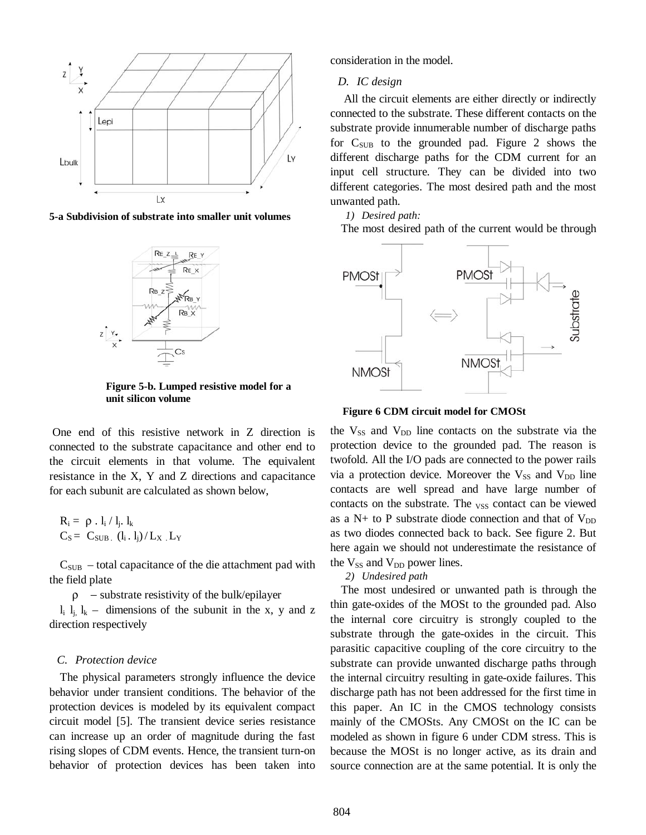

**5-a Subdivision of substrate into smaller unit volumes** 



**Figure 5-b. Lumped resistive model for a unit silicon volume**

 One end of this resistive network in Z direction is connected to the substrate capacitance and other end to the circuit elements in that volume. The equivalent resistance in the X, Y and Z directions and capacitance for each subunit are calculated as shown below,

$$
\begin{aligned} R_i &= \rho \cdot l_i \, / \, l_j \cdot l_k \\ C_S &= \ C_{SUB} \cdot (l_i \cdot l_j) \, / \, L_X \cdot L_Y \end{aligned}
$$

 $C<sub>SUB</sub>$  – total capacitance of the die attachment pad with the field plate

 $\rho$  – substrate resistivity of the bulk/epilayer

 $l_i$ ,  $l_k$  – dimensions of the subunit in the x, y and z direction respectively

# *C. Protection device*

The physical parameters strongly influence the device behavior under transient conditions. The behavior of the protection devices is modeled by its equivalent compact circuit model [5]. The transient device series resistance can increase up an order of magnitude during the fast rising slopes of CDM events. Hence, the transient turn-on behavior of protection devices has been taken into

consideration in the model.

# *D. IC design*

 All the circuit elements are either directly or indirectly connected to the substrate. These different contacts on the substrate provide innumerable number of discharge paths for  $C_{\text{SUB}}$  to the grounded pad. Figure 2 shows the different discharge paths for the CDM current for an input cell structure. They can be divided into two different categories. The most desired path and the most unwanted path.

*1) Desired path:* 

The most desired path of the current would be through



#### **Figure 6 CDM circuit model for CMOSt**

the  $V_{SS}$  and  $V_{DD}$  line contacts on the substrate via the protection device to the grounded pad. The reason is twofold. All the I/O pads are connected to the power rails via a protection device. Moreover the  $V_{SS}$  and  $V_{DD}$  line contacts are well spread and have large number of contacts on the substrate. The <sub>VSS</sub> contact can be viewed as a N+ to P substrate diode connection and that of  $V_{DD}$ as two diodes connected back to back. See figure 2. But here again we should not underestimate the resistance of the  $V_{SS}$  and  $V_{DD}$  power lines.

#### *2) Undesired path*

The most undesired or unwanted path is through the thin gate-oxides of the MOSt to the grounded pad. Also the internal core circuitry is strongly coupled to the substrate through the gate-oxides in the circuit. This parasitic capacitive coupling of the core circuitry to the substrate can provide unwanted discharge paths through the internal circuitry resulting in gate-oxide failures. This discharge path has not been addressed for the first time in this paper. An IC in the CMOS technology consists mainly of the CMOSts. Any CMOSt on the IC can be modeled as shown in figure 6 under CDM stress. This is because the MOSt is no longer active, as its drain and source connection are at the same potential. It is only the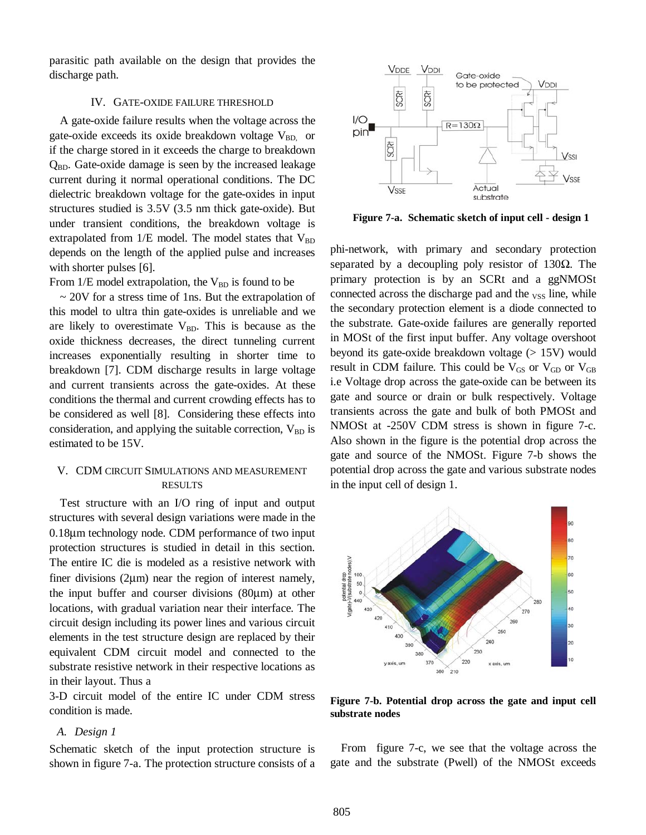parasitic path available on the design that provides the discharge path.

## IV. GATE-OXIDE FAILURE THRESHOLD

A gate-oxide failure results when the voltage across the gate-oxide exceeds its oxide breakdown voltage  $V_{BD}$  or if the charge stored in it exceeds the charge to breakdown  $Q_{BD}$ . Gate-oxide damage is seen by the increased leakage current during it normal operational conditions. The DC dielectric breakdown voltage for the gate-oxides in input structures studied is 3.5V (3.5 nm thick gate-oxide). But under transient conditions, the breakdown voltage is extrapolated from  $1/E$  model. The model states that  $V_{BD}$ depends on the length of the applied pulse and increases with shorter pulses [6].

From  $1/E$  model extrapolation, the  $V_{BD}$  is found to be

 $\sim$  20V for a stress time of 1ns. But the extrapolation of this model to ultra thin gate-oxides is unreliable and we are likely to overestimate  $V_{BD}$ . This is because as the oxide thickness decreases, the direct tunneling current increases exponentially resulting in shorter time to breakdown [7]. CDM discharge results in large voltage and current transients across the gate-oxides. At these conditions the thermal and current crowding effects has to be considered as well [8]. Considering these effects into consideration, and applying the suitable correction,  $V_{BD}$  is estimated to be 15V.

# V. CDM CIRCUIT SIMULATIONS AND MEASUREMENT RESULTS

Test structure with an I/O ring of input and output structures with several design variations were made in the 0.18µm technology node. CDM performance of two input protection structures is studied in detail in this section. The entire IC die is modeled as a resistive network with finer divisions (2µm) near the region of interest namely, the input buffer and courser divisions (80µm) at other locations, with gradual variation near their interface. The circuit design including its power lines and various circuit elements in the test structure design are replaced by their equivalent CDM circuit model and connected to the substrate resistive network in their respective locations as in their layout. Thus a

3-D circuit model of the entire IC under CDM stress condition is made.

## *A. Design 1*

Schematic sketch of the input protection structure is shown in figure 7-a. The protection structure consists of a



**Figure 7-a. Schematic sketch of input cell - design 1**

phi-network, with primary and secondary protection separated by a decoupling poly resistor of 130 $\Omega$ . The primary protection is by an SCRt and a ggNMOSt connected across the discharge pad and the  $_{VSS}$  line, while the secondary protection element is a diode connected to the substrate. Gate-oxide failures are generally reported in MOSt of the first input buffer. Any voltage overshoot beyond its gate-oxide breakdown voltage (> 15V) would result in CDM failure. This could be  $V_{GS}$  or  $V_{GD}$  or  $V_{GB}$ i.e Voltage drop across the gate-oxide can be between its gate and source or drain or bulk respectively. Voltage transients across the gate and bulk of both PMOSt and NMOSt at -250V CDM stress is shown in figure 7-c. Also shown in the figure is the potential drop across the gate and source of the NMOSt. Figure 7-b shows the potential drop across the gate and various substrate nodes in the input cell of design 1.



**Figure 7-b. Potential drop across the gate and input cell substrate nodes** 

From figure 7-c, we see that the voltage across the gate and the substrate (Pwell) of the NMOSt exceeds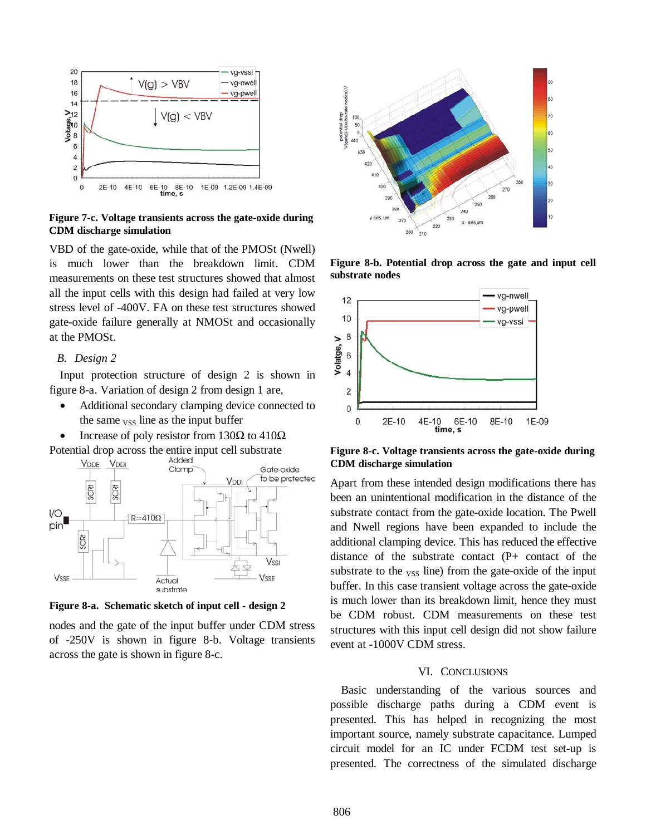

**Figure 7-c. Voltage transients across the gate-oxide during CDM discharge simulation**

VBD of the gate-oxide, while that of the PMOSt (Nwell) is much lower than the breakdown limit. CDM measurements on these test structures showed that almost all the input cells with this design had failed at very low stress level of -400V. FA on these test structures showed gate-oxide failure generally at NMOSt and occasionally at the PMOSt.

# *B. Design 2*

Input protection structure of design 2 is shown in figure 8-a. Variation of design 2 from design 1 are,

- Additional secondary clamping device connected to the same  $_{VSS}$  line as the input buffer
- Increase of poly resistor from 130Ω to 410Ω
- Potential drop across the entire input cell substrate



**Figure 8-a. Schematic sketch of input cell - design 2** 

nodes and the gate of the input buffer under CDM stress of -250V is shown in figure 8-b. Voltage transients across the gate is shown in figure 8-c.



**Figure 8-b. Potential drop across the gate and input cell substrate nodes** 



**Figure 8-c. Voltage transients across the gate-oxide during CDM discharge simulation**

Apart from these intended design modifications there has been an unintentional modification in the distance of the substrate contact from the gate-oxide location. The Pwell and Nwell regions have been expanded to include the additional clamping device. This has reduced the effective distance of the substrate contact (P+ contact of the substrate to the  $_{VSS}$  line) from the gate-oxide of the input buffer. In this case transient voltage across the gate-oxide is much lower than its breakdown limit, hence they must be CDM robust. CDM measurements on these test structures with this input cell design did not show failure event at -1000V CDM stress.

## VI. CONCLUSIONS

Basic understanding of the various sources and possible discharge paths during a CDM event is presented. This has helped in recognizing the most important source, namely substrate capacitance. Lumped circuit model for an IC under FCDM test set-up is presented. The correctness of the simulated discharge